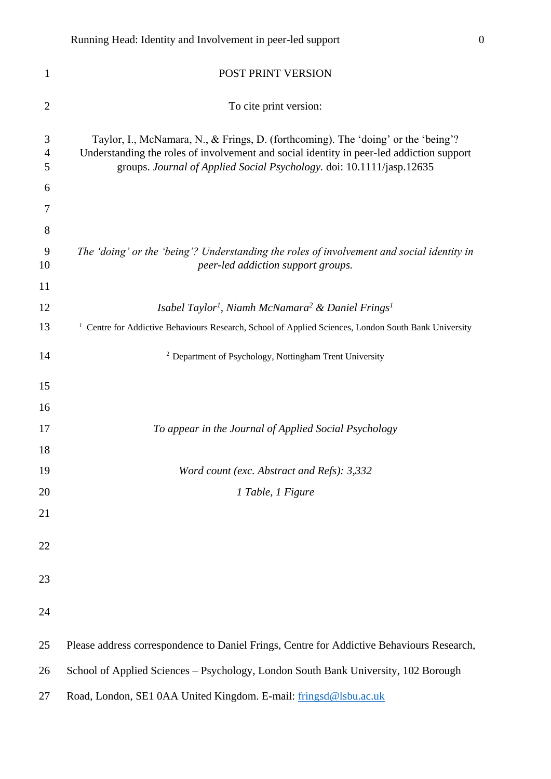| $\mathbf{1}$             | POST PRINT VERSION                                                                                                                                                                                                                                     |
|--------------------------|--------------------------------------------------------------------------------------------------------------------------------------------------------------------------------------------------------------------------------------------------------|
| $\overline{2}$           | To cite print version:                                                                                                                                                                                                                                 |
| 3<br>$\overline{4}$<br>5 | Taylor, I., McNamara, N., & Frings, D. (forthcoming). The 'doing' or the 'being'?<br>Understanding the roles of involvement and social identity in peer-led addiction support<br>groups. Journal of Applied Social Psychology. doi: 10.1111/jasp.12635 |
| 6                        |                                                                                                                                                                                                                                                        |
| 7                        |                                                                                                                                                                                                                                                        |
| 8                        |                                                                                                                                                                                                                                                        |
| 9<br>10                  | The 'doing' or the 'being'? Understanding the roles of involvement and social identity in<br>peer-led addiction support groups.                                                                                                                        |
| 11                       |                                                                                                                                                                                                                                                        |
| 12                       | Isabel Taylor <sup>1</sup> , Niamh McNamara <sup>2</sup> & Daniel Frings <sup>1</sup>                                                                                                                                                                  |
| 13                       | <sup>1</sup> Centre for Addictive Behaviours Research, School of Applied Sciences, London South Bank University                                                                                                                                        |
| 14                       | <sup>2</sup> Department of Psychology, Nottingham Trent University                                                                                                                                                                                     |
| 15                       |                                                                                                                                                                                                                                                        |
| 16                       |                                                                                                                                                                                                                                                        |
| 17                       | To appear in the Journal of Applied Social Psychology                                                                                                                                                                                                  |
| 18                       |                                                                                                                                                                                                                                                        |
| 19                       | Word count (exc. Abstract and Refs): 3,332                                                                                                                                                                                                             |
| 20                       | 1 Table, 1 Figure                                                                                                                                                                                                                                      |
| 21                       |                                                                                                                                                                                                                                                        |
| 22                       |                                                                                                                                                                                                                                                        |
| 23                       |                                                                                                                                                                                                                                                        |
| 24                       |                                                                                                                                                                                                                                                        |
| 25                       | Please address correspondence to Daniel Frings, Centre for Addictive Behaviours Research,                                                                                                                                                              |
| 26                       | School of Applied Sciences - Psychology, London South Bank University, 102 Borough                                                                                                                                                                     |
| 27                       | Road, London, SE1 0AA United Kingdom. E-mail: fringsd@lsbu.ac.uk                                                                                                                                                                                       |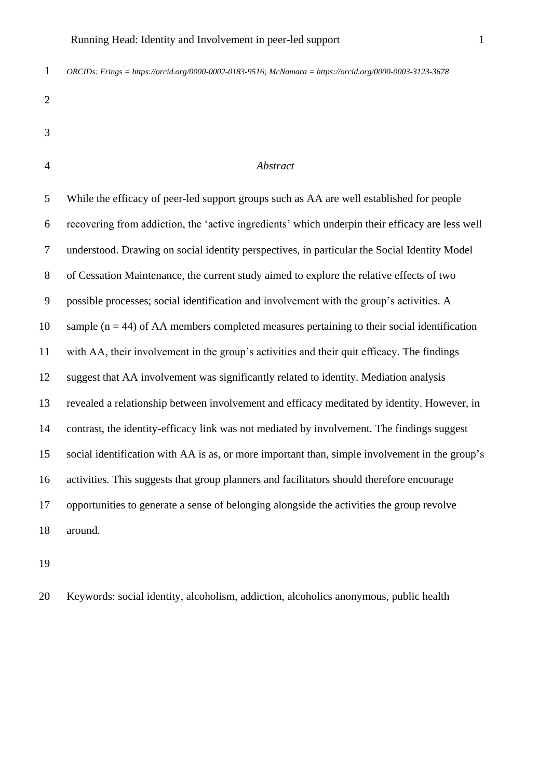*ORCIDs: Frings = https://orcid.org/0000-0002-0183-9516; McNamara = https://orcid.org/0000-0003-3123-3678*

| ×<br>۰,     |
|-------------|
| I<br>I<br>I |
| I<br>I<br>٦ |
|             |
|             |

| <br>۰,<br>I<br>٦  |
|-------------------|
|                   |
|                   |
| r<br>۰.<br>×<br>٠ |

#### *Abstract*

 While the efficacy of peer-led support groups such as AA are well established for people recovering from addiction, the 'active ingredients' which underpin their efficacy are less well understood. Drawing on social identity perspectives, in particular the Social Identity Model of Cessation Maintenance, the current study aimed to explore the relative effects of two possible processes; social identification and involvement with the group's activities. A 10 sample ( $n = 44$ ) of AA members completed measures pertaining to their social identification with AA, their involvement in the group's activities and their quit efficacy. The findings suggest that AA involvement was significantly related to identity. Mediation analysis revealed a relationship between involvement and efficacy meditated by identity. However, in contrast, the identity-efficacy link was not mediated by involvement. The findings suggest social identification with AA is as, or more important than, simple involvement in the group's activities. This suggests that group planners and facilitators should therefore encourage opportunities to generate a sense of belonging alongside the activities the group revolve around.

Keywords: social identity, alcoholism, addiction, alcoholics anonymous, public health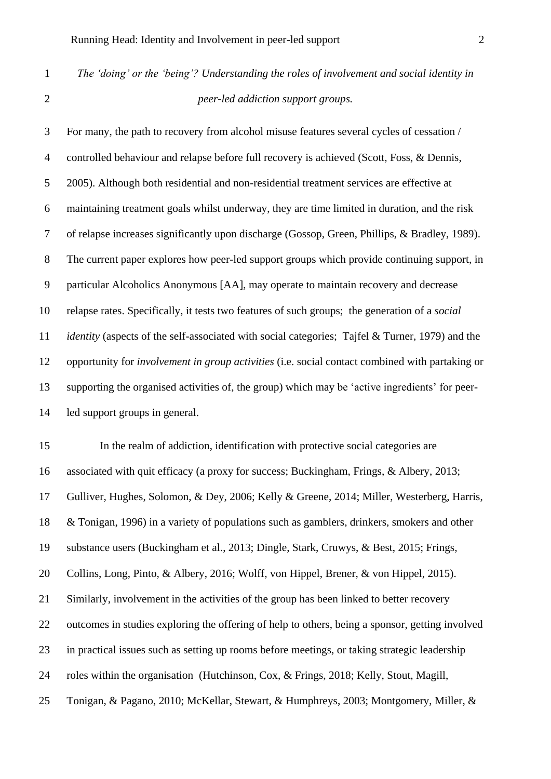*The 'doing' or the 'being'? Understanding the roles of involvement and social identity in peer-led addiction support groups.*

 For many, the path to recovery from alcohol misuse features several cycles of cessation / controlled behaviour and relapse before full recovery is achieved (Scott, Foss, & Dennis, 2005). Although both residential and non-residential treatment services are effective at maintaining treatment goals whilst underway, they are time limited in duration, and the risk of relapse increases significantly upon discharge (Gossop, Green, Phillips, & Bradley, 1989). The current paper explores how peer-led support groups which provide continuing support, in particular Alcoholics Anonymous [AA], may operate to maintain recovery and decrease relapse rates. Specifically, it tests two features of such groups; the generation of a *social identity* (aspects of the self-associated with social categories; Tajfel & Turner, 1979) and the opportunity for *involvement in group activities* (i.e. social contact combined with partaking or supporting the organised activities of, the group) which may be 'active ingredients' for peer-led support groups in general.

 In the realm of addiction, identification with protective social categories are associated with quit efficacy (a proxy for success; Buckingham, Frings, & Albery, 2013; Gulliver, Hughes, Solomon, & Dey, 2006; Kelly & Greene, 2014; Miller, Westerberg, Harris, & Tonigan, 1996) in a variety of populations such as gamblers, drinkers, smokers and other substance users (Buckingham et al., 2013; Dingle, Stark, Cruwys, & Best, 2015; Frings, Collins, Long, Pinto, & Albery, 2016; Wolff, von Hippel, Brener, & von Hippel, 2015). Similarly, involvement in the activities of the group has been linked to better recovery outcomes in studies exploring the offering of help to others, being a sponsor, getting involved in practical issues such as setting up rooms before meetings, or taking strategic leadership roles within the organisation (Hutchinson, Cox, & Frings, 2018; Kelly, Stout, Magill, Tonigan, & Pagano, 2010; McKellar, Stewart, & Humphreys, 2003; Montgomery, Miller, &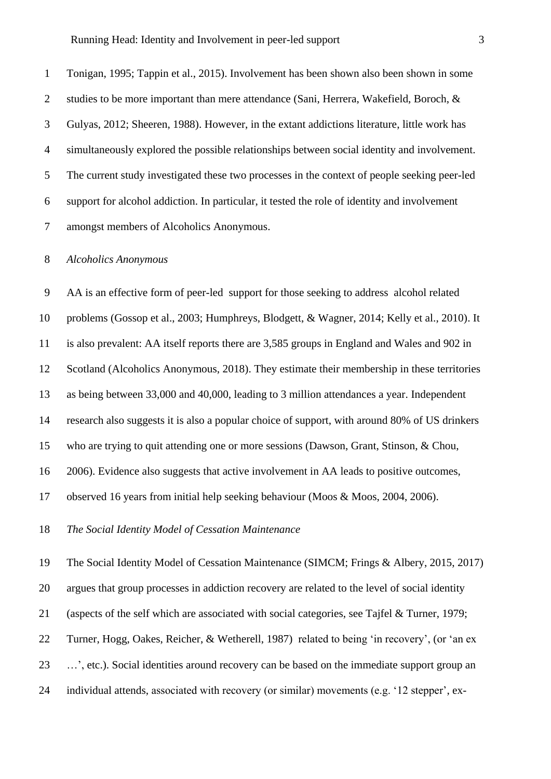Tonigan, 1995; Tappin et al., 2015). Involvement has been shown also been shown in some 2 studies to be more important than mere attendance (Sani, Herrera, Wakefield, Boroch, & Gulyas, 2012; Sheeren, 1988). However, in the extant addictions literature, little work has simultaneously explored the possible relationships between social identity and involvement. The current study investigated these two processes in the context of people seeking peer-led support for alcohol addiction. In particular, it tested the role of identity and involvement amongst members of Alcoholics Anonymous.

#### *Alcoholics Anonymous*

 AA is an effective form of peer-led support for those seeking to address alcohol related problems (Gossop et al., 2003; Humphreys, Blodgett, & Wagner, 2014; Kelly et al., 2010). It is also prevalent: AA itself reports there are 3,585 groups in England and Wales and 902 in Scotland (Alcoholics Anonymous, 2018). They estimate their membership in these territories as being between 33,000 and 40,000, leading to 3 million attendances a year. Independent research also suggests it is also a popular choice of support, with around 80% of US drinkers who are trying to quit attending one or more sessions (Dawson, Grant, Stinson, & Chou, 2006). Evidence also suggests that active involvement in AA leads to positive outcomes, observed 16 years from initial help seeking behaviour (Moos & Moos, 2004, 2006).

*The Social Identity Model of Cessation Maintenance* 

The Social Identity Model of Cessation Maintenance (SIMCM; Frings & Albery, 2015, 2017)

argues that group processes in addiction recovery are related to the level of social identity

(aspects of the self which are associated with social categories, see Tajfel & Turner, 1979;

Turner, Hogg, Oakes, Reicher, & Wetherell, 1987) related to being 'in recovery', (or 'an ex

…', etc.). Social identities around recovery can be based on the immediate support group an

individual attends, associated with recovery (or similar) movements (e.g. '12 stepper', ex-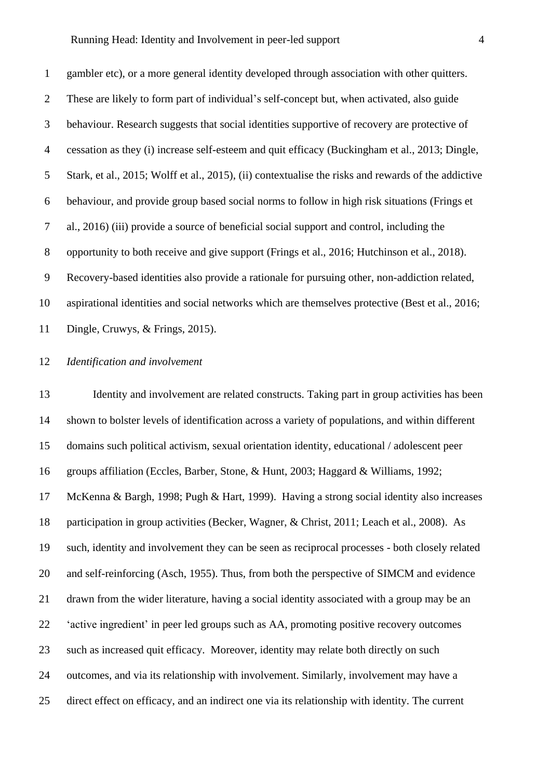#### Running Head: Identity and Involvement in peer-led support 4

 gambler etc), or a more general identity developed through association with other quitters. These are likely to form part of individual's self-concept but, when activated, also guide behaviour. Research suggests that social identities supportive of recovery are protective of cessation as they (i) increase self-esteem and quit efficacy (Buckingham et al., 2013; Dingle, Stark, et al., 2015; Wolff et al., 2015), (ii) contextualise the risks and rewards of the addictive behaviour, and provide group based social norms to follow in high risk situations (Frings et al., 2016) (iii) provide a source of beneficial social support and control, including the opportunity to both receive and give support (Frings et al., 2016; Hutchinson et al., 2018). Recovery-based identities also provide a rationale for pursuing other, non-addiction related, aspirational identities and social networks which are themselves protective (Best et al., 2016; Dingle, Cruwys, & Frings, 2015).

#### *Identification and involvement*

 Identity and involvement are related constructs. Taking part in group activities has been shown to bolster levels of identification across a variety of populations, and within different domains such political activism, sexual orientation identity, educational / adolescent peer groups affiliation (Eccles, Barber, Stone, & Hunt, 2003; Haggard & Williams, 1992; McKenna & Bargh, 1998; Pugh & Hart, 1999). Having a strong social identity also increases participation in group activities (Becker, Wagner, & Christ, 2011; Leach et al., 2008). As such, identity and involvement they can be seen as reciprocal processes - both closely related and self-reinforcing (Asch, 1955). Thus, from both the perspective of SIMCM and evidence drawn from the wider literature, having a social identity associated with a group may be an 'active ingredient' in peer led groups such as AA, promoting positive recovery outcomes such as increased quit efficacy. Moreover, identity may relate both directly on such outcomes, and via its relationship with involvement. Similarly, involvement may have a direct effect on efficacy, and an indirect one via its relationship with identity. The current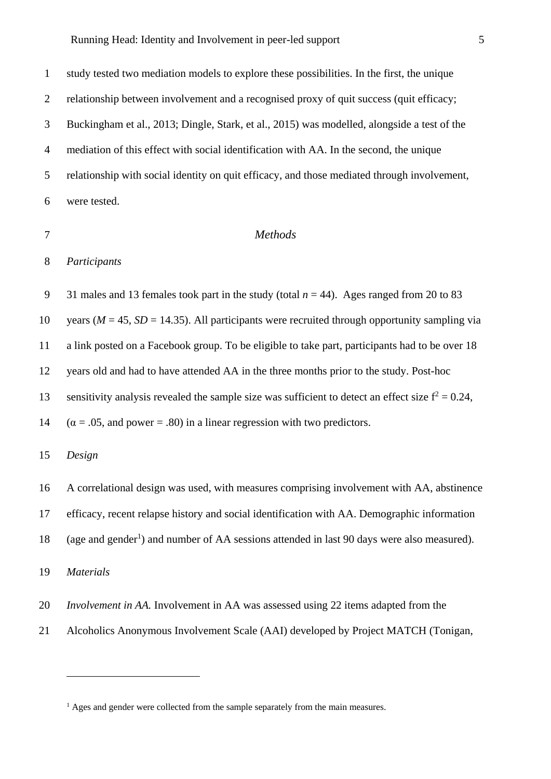study tested two mediation models to explore these possibilities. In the first, the unique relationship between involvement and a recognised proxy of quit success (quit efficacy; Buckingham et al., 2013; Dingle, Stark, et al., 2015) was modelled, alongside a test of the mediation of this effect with social identification with AA. In the second, the unique relationship with social identity on quit efficacy, and those mediated through involvement, were tested.

#### *Methods*

*Participants*

9 31 males and 13 females took part in the study (total  $n = 44$ ). Ages ranged from 20 to 83 10 years ( $M = 45$ ,  $SD = 14.35$ ). All participants were recruited through opportunity sampling via a link posted on a Facebook group. To be eligible to take part, participants had to be over 18 years old and had to have attended AA in the three months prior to the study. Post-hoc sensitivity analysis revealed the sample size was sufficient to detect an effect size  $f^2 = 0.24$ , 14  $(\alpha = .05, \text{ and power} = .80)$  in a linear regression with two predictors.

*Design*

A correlational design was used, with measures comprising involvement with AA, abstinence

efficacy, recent relapse history and social identification with AA. Demographic information

18 (age and gender<sup>1</sup>) and number of AA sessions attended in last 90 days were also measured).

*Materials* 

- *Involvement in AA.* Involvement in AA was assessed using 22 items adapted from the
- Alcoholics Anonymous Involvement Scale (AAI) developed by Project MATCH (Tonigan,

<sup>&</sup>lt;sup>1</sup> Ages and gender were collected from the sample separately from the main measures.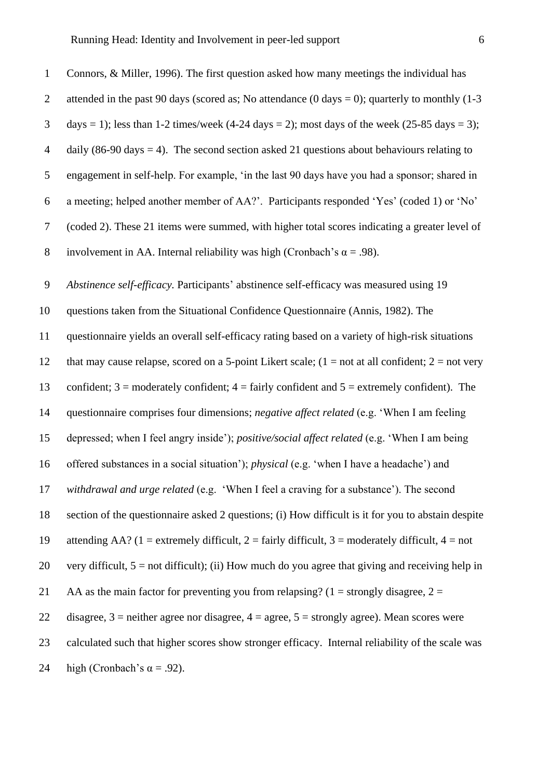2 attended in the past 90 days (scored as; No attendance  $(0 \text{ days} = 0)$ ; quarterly to monthly  $(1-3 \text{ years})$  $3$  days = 1); less than 1-2 times/week (4-24 days = 2); most days of the week (25-85 days = 3); 4 daily (86-90 days = 4). The second section asked 21 questions about behaviours relating to 5 engagement in self-help. For example, 'in the last 90 days have you had a sponsor; shared in 6 a meeting; helped another member of AA?'. Participants responded 'Yes' (coded 1) or 'No' 7 (coded 2). These 21 items were summed, with higher total scores indicating a greater level of 8 involvement in AA. Internal reliability was high (Cronbach's  $\alpha = .98$ ). 9 *Abstinence self-efficacy.* Participants' abstinence self-efficacy was measured using 19 10 questions taken from the Situational Confidence Questionnaire (Annis, 1982). The 11 questionnaire yields an overall self-efficacy rating based on a variety of high-risk situations 12 that may cause relapse, scored on a 5-point Likert scale;  $(1 = not at all confident; 2 = not very$ 13 confident;  $3 =$  moderately confident;  $4 =$  fairly confident and  $5 =$  extremely confident). The 14 questionnaire comprises four dimensions; *negative affect related* (e.g. 'When I am feeling 15 depressed; when I feel angry inside'); *positive/social affect related* (e.g. 'When I am being 16 offered substances in a social situation'); *physical* (e.g. 'when I have a headache') and 17 *withdrawal and urge related* (e.g. 'When I feel a craving for a substance'). The second 18 section of the questionnaire asked 2 questions; (i) How difficult is it for you to abstain despite 19 attending AA? (1 = extremely difficult, 2 = fairly difficult, 3 = moderately difficult, 4 = not 20 very difficult,  $5 = not$  difficult); (ii) How much do you agree that giving and receiving help in 21 AA as the main factor for preventing you from relapsing? (1 = strongly disagree,  $2 =$ 22 disagree,  $3$  = neither agree nor disagree,  $4$  = agree,  $5$  = strongly agree). Mean scores were 23 calculated such that higher scores show stronger efficacy. Internal reliability of the scale was 24 high (Cronbach's  $\alpha = .92$ ).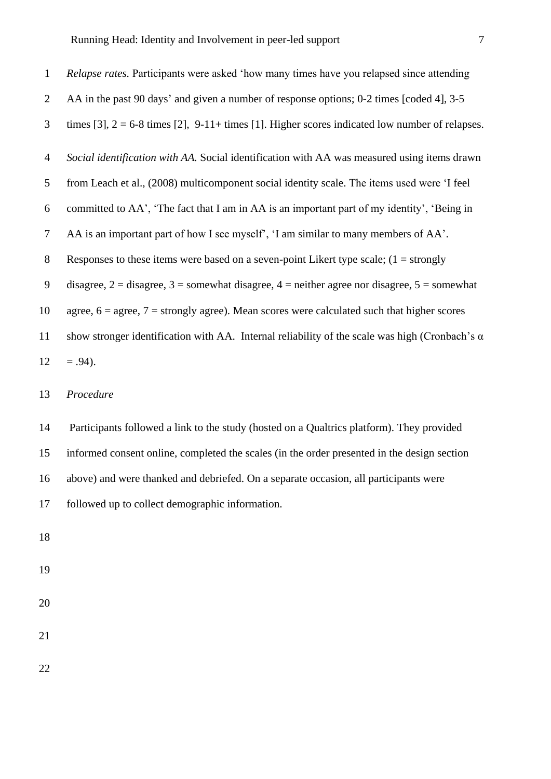| $\mathbf{1}$   | Relapse rates. Participants were asked 'how many times have you relapsed since attending                       |
|----------------|----------------------------------------------------------------------------------------------------------------|
| 2              | AA in the past 90 days' and given a number of response options; 0-2 times [coded 4], 3-5                       |
| 3              | times [3], $2 = 6-8$ times [2], $9-11+$ times [1]. Higher scores indicated low number of relapses.             |
| $\overline{4}$ | Social identification with AA. Social identification with AA was measured using items drawn                    |
| 5              | from Leach et al., (2008) multicomponent social identity scale. The items used were 'I feel                    |
| 6              | committed to AA', 'The fact that I am in AA is an important part of my identity', 'Being in                    |
| $\overline{7}$ | AA is an important part of how I see myself', 'I am similar to many members of AA'.                            |
| 8              | Responses to these items were based on a seven-point Likert type scale; $(1 =$ strongly                        |
| 9              | disagree, $2 =$ disagree, $3 =$ somewhat disagree, $4 =$ neither agree nor disagree, $5 =$ somewhat            |
| 10             | agree, $6 = \text{agree}$ , $7 = \text{strongly agree}$ ). Mean scores were calculated such that higher scores |
| 11             | show stronger identification with AA. Internal reliability of the scale was high (Cronbach's $\alpha$ )        |
| 12             | $= .94$ ).                                                                                                     |
| 13             | Procedure                                                                                                      |

 Participants followed a link to the study (hosted on a Qualtrics platform). They provided informed consent online, completed the scales (in the order presented in the design section above) and were thanked and debriefed. On a separate occasion, all participants were followed up to collect demographic information.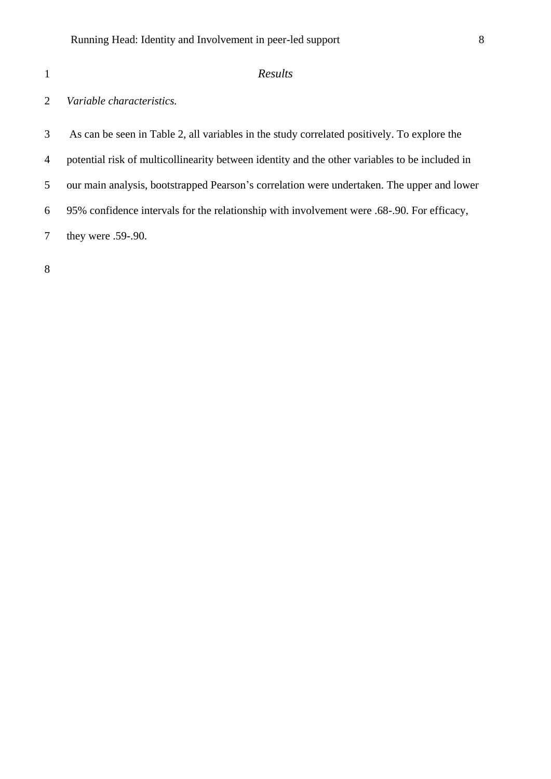## *Results*

### *Variable characteristics.*

- As can be seen in Table 2, all variables in the study correlated positively. To explore the
- potential risk of multicollinearity between identity and the other variables to be included in
- our main analysis, bootstrapped Pearson's correlation were undertaken. The upper and lower
- 95% confidence intervals for the relationship with involvement were .68-.90. For efficacy,
- they were .59-.90.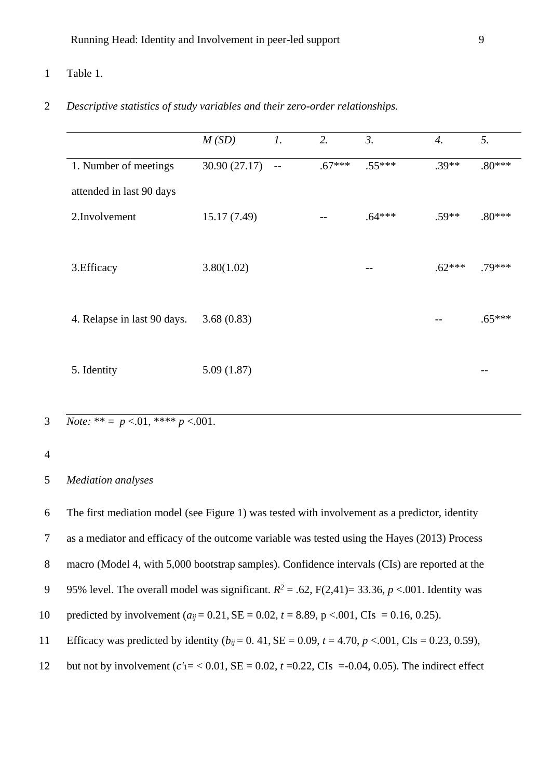#### 1 Table 1.

#### 2 *Descriptive statistics of study variables and their zero-order relationships.*

|                             | M(SD)         | $\mathcal{I}.$ | 2.       | 3.       | $\mathcal{A}_{\cdot}$ | 5.       |
|-----------------------------|---------------|----------------|----------|----------|-----------------------|----------|
| 1. Number of meetings       | 30.90 (27.17) | $-$            | $.67***$ | $.55***$ | $.39**$               | $.80***$ |
| attended in last 90 days    |               |                |          |          |                       |          |
| 2.Involvement               | 15.17(7.49)   |                |          | $.64***$ | $.59**$               | $.80***$ |
|                             |               |                |          |          |                       |          |
| 3. Efficacy                 | 3.80(1.02)    |                |          |          | $.62***$              | .79***   |
|                             |               |                |          |          |                       |          |
| 4. Relapse in last 90 days. | 3.68(0.83)    |                |          |          | --                    | $.65***$ |
|                             |               |                |          |          |                       |          |
| 5. Identity                 | 5.09(1.87)    |                |          |          |                       |          |
|                             |               |                |          |          |                       |          |

3 *Note:* 
$$
** = p < 0.01
$$
,  $***p < 0.001$ .

#### 4

#### 5 *Mediation analyses*

6 The first mediation model (see Figure 1) was tested with involvement as a predictor, identity 7 as a mediator and efficacy of the outcome variable was tested using the Hayes (2013) Process 8 macro (Model 4, with 5,000 bootstrap samples). Confidence intervals (CIs) are reported at the 9 95% level. The overall model was significant.  $R^2 = .62$ ,  $F(2,41) = 33.36$ ,  $p < .001$ . Identity was 10 predicted by involvement  $(a_{ij} = 0.21, SE = 0.02, t = 8.89, p < .001, CIs = 0.16, 0.25)$ . 11 Efficacy was predicted by identity  $(b_{ij} = 0.41, SE = 0.09, t = 4.70, p < .001, Cls = 0.23, 0.59)$ , 12 but not by involvement (*c'*1= < 0.01, SE = 0.02, *t* =0.22, CIs =-0.04, 0.05). The indirect effect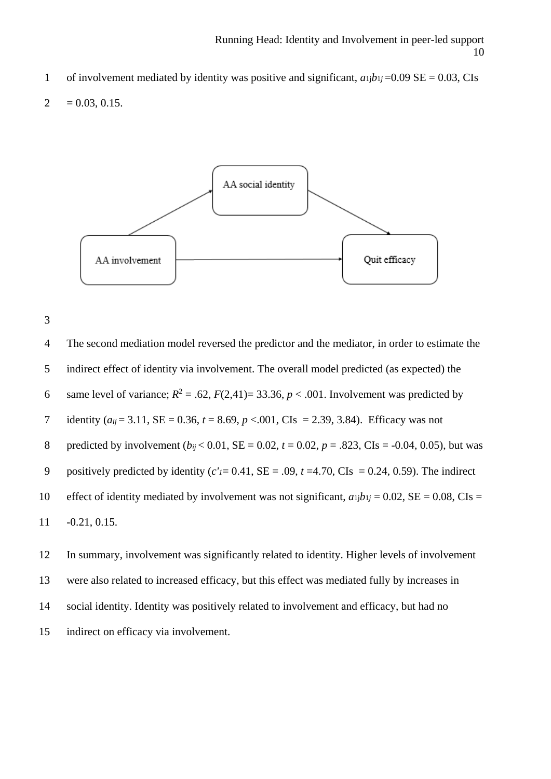1 of involvement mediated by identity was positive and significant,  $a_1$ *ib*<sub>1</sub>*j* =0.09 SE = 0.03, CI<sub>s</sub>

$$
2 = 0.03, 0.15.
$$





4 The second mediation model reversed the predictor and the mediator, in order to estimate the 5 indirect effect of identity via involvement. The overall model predicted (as expected) the 6 same level of variance;  $R^2 = .62$ ,  $F(2,41) = 33.36$ ,  $p < .001$ . Involvement was predicted by 7 identity  $(a_{ij} = 3.11, \text{SE} = 0.36, t = 8.69, p < .001, \text{CIs} = 2.39, 3.84)$ . Efficacy was not 8 predicted by involvement  $(b_{ij} < 0.01, SE = 0.02, t = 0.02, p = .823, CIs = -0.04, 0.05)$ , but was 9 positively predicted by identity  $(c<sub>I</sub>= 0.41, SE = .09, t = 4.70, CIs = 0.24, 0.59)$ . The indirect 10 effect of identity mediated by involvement was not significant,  $a_{1j}b_{1j} = 0.02$ , SE = 0.08, CIs = 11 -0.21, 0.15.

 In summary, involvement was significantly related to identity. Higher levels of involvement were also related to increased efficacy, but this effect was mediated fully by increases in social identity. Identity was positively related to involvement and efficacy, but had no indirect on efficacy via involvement.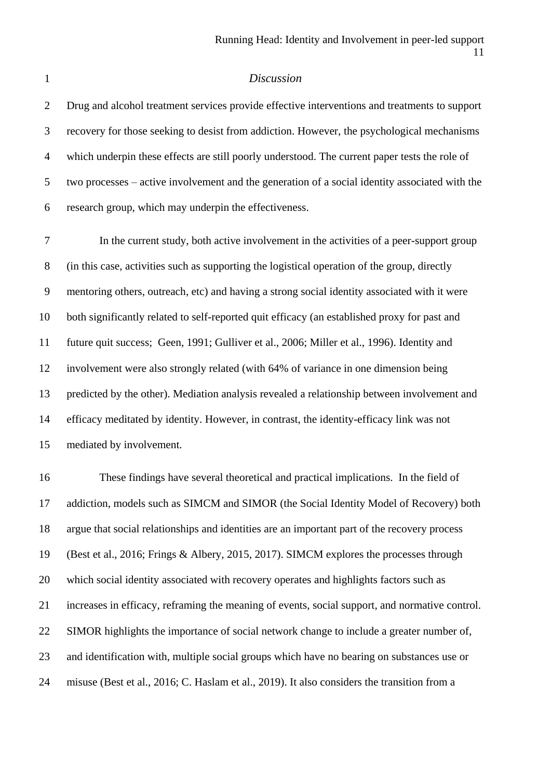#### *Discussion*

 Drug and alcohol treatment services provide effective interventions and treatments to support recovery for those seeking to desist from addiction. However, the psychological mechanisms which underpin these effects are still poorly understood. The current paper tests the role of two processes – active involvement and the generation of a social identity associated with the research group, which may underpin the effectiveness.

 In the current study, both active involvement in the activities of a peer-support group (in this case, activities such as supporting the logistical operation of the group, directly mentoring others, outreach, etc) and having a strong social identity associated with it were both significantly related to self-reported quit efficacy (an established proxy for past and future quit success; Geen, 1991; Gulliver et al., 2006; Miller et al., 1996). Identity and involvement were also strongly related (with 64% of variance in one dimension being predicted by the other). Mediation analysis revealed a relationship between involvement and efficacy meditated by identity. However, in contrast, the identity-efficacy link was not mediated by involvement.

 These findings have several theoretical and practical implications. In the field of addiction, models such as SIMCM and SIMOR (the Social Identity Model of Recovery) both argue that social relationships and identities are an important part of the recovery process (Best et al., 2016; Frings & Albery, 2015, 2017). SIMCM explores the processes through which social identity associated with recovery operates and highlights factors such as increases in efficacy, reframing the meaning of events, social support, and normative control. SIMOR highlights the importance of social network change to include a greater number of, and identification with, multiple social groups which have no bearing on substances use or misuse (Best et al., 2016; C. Haslam et al., 2019). It also considers the transition from a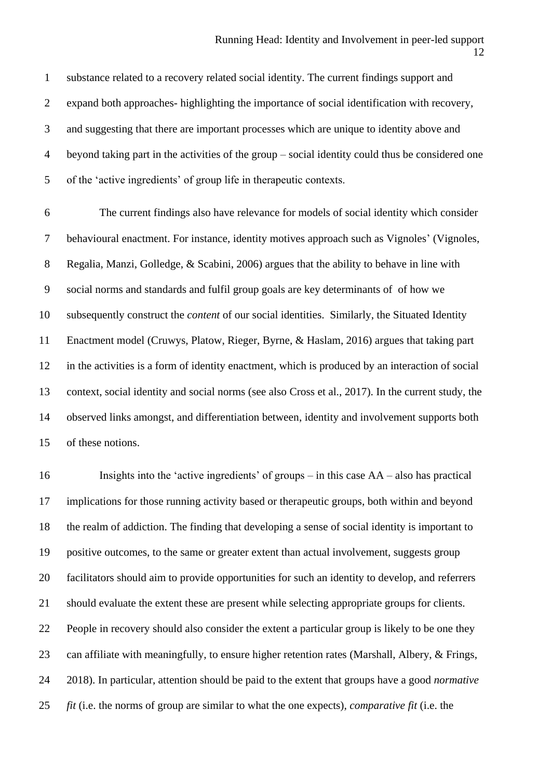substance related to a recovery related social identity. The current findings support and expand both approaches- highlighting the importance of social identification with recovery, and suggesting that there are important processes which are unique to identity above and beyond taking part in the activities of the group – social identity could thus be considered one of the 'active ingredients' of group life in therapeutic contexts.

 The current findings also have relevance for models of social identity which consider behavioural enactment. For instance, identity motives approach such as Vignoles' (Vignoles, Regalia, Manzi, Golledge, & Scabini, 2006) argues that the ability to behave in line with social norms and standards and fulfil group goals are key determinants of of how we subsequently construct the *content* of our social identities. Similarly, the Situated Identity Enactment model (Cruwys, Platow, Rieger, Byrne, & Haslam, 2016) argues that taking part in the activities is a form of identity enactment, which is produced by an interaction of social context, social identity and social norms (see also Cross et al., 2017). In the current study, the observed links amongst, and differentiation between, identity and involvement supports both of these notions.

 Insights into the 'active ingredients' of groups – in this case AA – also has practical implications for those running activity based or therapeutic groups, both within and beyond the realm of addiction. The finding that developing a sense of social identity is important to positive outcomes, to the same or greater extent than actual involvement, suggests group facilitators should aim to provide opportunities for such an identity to develop, and referrers should evaluate the extent these are present while selecting appropriate groups for clients. People in recovery should also consider the extent a particular group is likely to be one they can affiliate with meaningfully, to ensure higher retention rates (Marshall, Albery, & Frings, 2018). In particular, attention should be paid to the extent that groups have a good *normative fit* (i.e. the norms of group are similar to what the one expects), *comparative fit* (i.e. the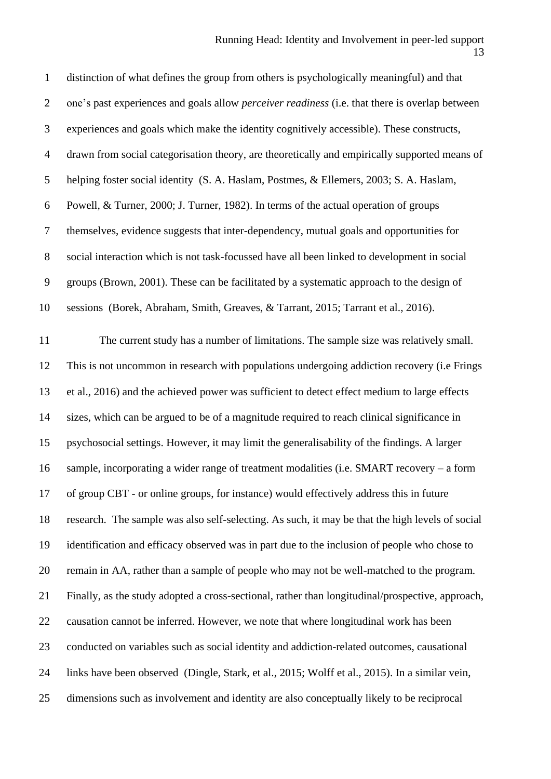distinction of what defines the group from others is psychologically meaningful) and that one's past experiences and goals allow *perceiver readiness* (i.e. that there is overlap between experiences and goals which make the identity cognitively accessible). These constructs, drawn from social categorisation theory, are theoretically and empirically supported means of helping foster social identity (S. A. Haslam, Postmes, & Ellemers, 2003; S. A. Haslam, Powell, & Turner, 2000; J. Turner, 1982). In terms of the actual operation of groups themselves, evidence suggests that inter-dependency, mutual goals and opportunities for social interaction which is not task-focussed have all been linked to development in social groups (Brown, 2001). These can be facilitated by a systematic approach to the design of sessions (Borek, Abraham, Smith, Greaves, & Tarrant, 2015; Tarrant et al., 2016).

 The current study has a number of limitations. The sample size was relatively small. This is not uncommon in research with populations undergoing addiction recovery (i.e Frings et al., 2016) and the achieved power was sufficient to detect effect medium to large effects sizes, which can be argued to be of a magnitude required to reach clinical significance in psychosocial settings. However, it may limit the generalisability of the findings. A larger sample, incorporating a wider range of treatment modalities (i.e. SMART recovery – a form of group CBT - or online groups, for instance) would effectively address this in future research. The sample was also self-selecting. As such, it may be that the high levels of social identification and efficacy observed was in part due to the inclusion of people who chose to remain in AA, rather than a sample of people who may not be well-matched to the program. Finally, as the study adopted a cross-sectional, rather than longitudinal/prospective, approach, causation cannot be inferred. However, we note that where longitudinal work has been conducted on variables such as social identity and addiction-related outcomes, causational links have been observed (Dingle, Stark, et al., 2015; Wolff et al., 2015). In a similar vein, dimensions such as involvement and identity are also conceptually likely to be reciprocal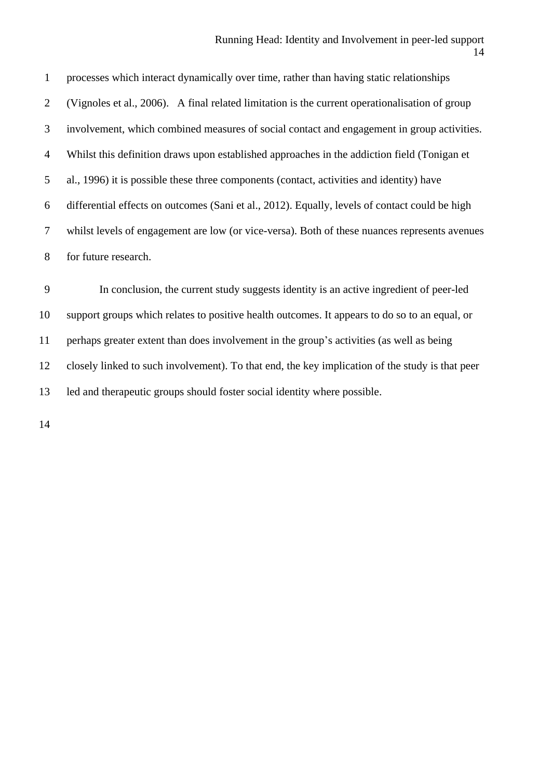#### Running Head: Identity and Involvement in peer-led support

 processes which interact dynamically over time, rather than having static relationships (Vignoles et al., 2006). A final related limitation is the current operationalisation of group involvement, which combined measures of social contact and engagement in group activities. Whilst this definition draws upon established approaches in the addiction field (Tonigan et al., 1996) it is possible these three components (contact, activities and identity) have differential effects on outcomes (Sani et al., 2012). Equally, levels of contact could be high whilst levels of engagement are low (or vice-versa). Both of these nuances represents avenues for future research.

 In conclusion, the current study suggests identity is an active ingredient of peer-led support groups which relates to positive health outcomes. It appears to do so to an equal, or perhaps greater extent than does involvement in the group's activities (as well as being closely linked to such involvement). To that end, the key implication of the study is that peer led and therapeutic groups should foster social identity where possible.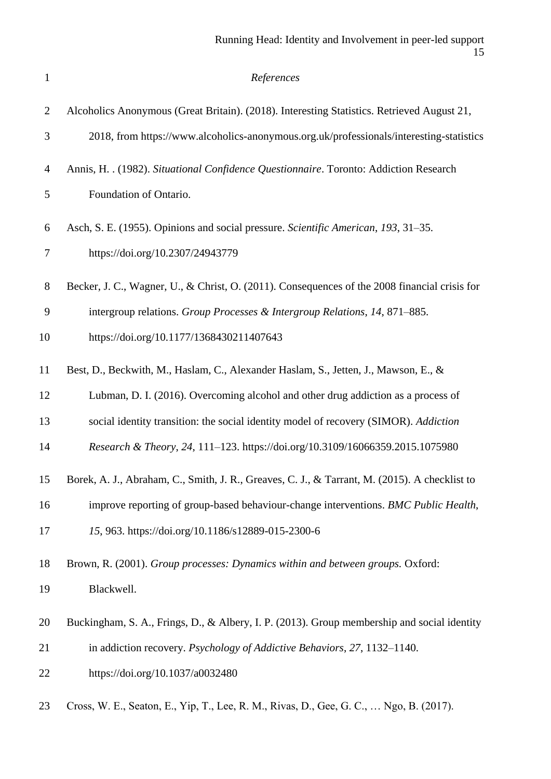| $\mathbf{1}$   | References                                                                                    |
|----------------|-----------------------------------------------------------------------------------------------|
| $\overline{2}$ | Alcoholics Anonymous (Great Britain). (2018). Interesting Statistics. Retrieved August 21,    |
| 3              | 2018, from https://www.alcoholics-anonymous.org.uk/professionals/interesting-statistics       |
| 4              | Annis, H. . (1982). Situational Confidence Questionnaire. Toronto: Addiction Research         |
| 5              | Foundation of Ontario.                                                                        |
| 6              | Asch, S. E. (1955). Opinions and social pressure. Scientific American, 193, 31–35.            |
| $\tau$         | https://doi.org/10.2307/24943779                                                              |
| $8\,$          | Becker, J. C., Wagner, U., & Christ, O. (2011). Consequences of the 2008 financial crisis for |
| 9              | intergroup relations. Group Processes & Intergroup Relations, 14, 871-885.                    |
| 10             | https://doi.org/10.1177/1368430211407643                                                      |
| 11             | Best, D., Beckwith, M., Haslam, C., Alexander Haslam, S., Jetten, J., Mawson, E., &           |
| 12             | Lubman, D. I. (2016). Overcoming alcohol and other drug addiction as a process of             |
| 13             | social identity transition: the social identity model of recovery (SIMOR). Addiction          |
| 14             | Research & Theory, 24, 111-123. https://doi.org/10.3109/16066359.2015.1075980                 |
| 15             | Borek, A. J., Abraham, C., Smith, J. R., Greaves, C. J., & Tarrant, M. (2015). A checklist to |
| 16             | improve reporting of group-based behaviour-change interventions. BMC Public Health,           |
| 17             | 15, 963. https://doi.org/10.1186/s12889-015-2300-6                                            |
| 18             | Brown, R. (2001). Group processes: Dynamics within and between groups. Oxford:                |
| 19             | Blackwell.                                                                                    |
| 20             | Buckingham, S. A., Frings, D., & Albery, I. P. (2013). Group membership and social identity   |
| 21             | in addiction recovery. Psychology of Addictive Behaviors, 27, 1132-1140.                      |
| 22             | https://doi.org/10.1037/a0032480                                                              |
| 23             | Cross, W. E., Seaton, E., Yip, T., Lee, R. M., Rivas, D., Gee, G. C.,  Ngo, B. (2017).        |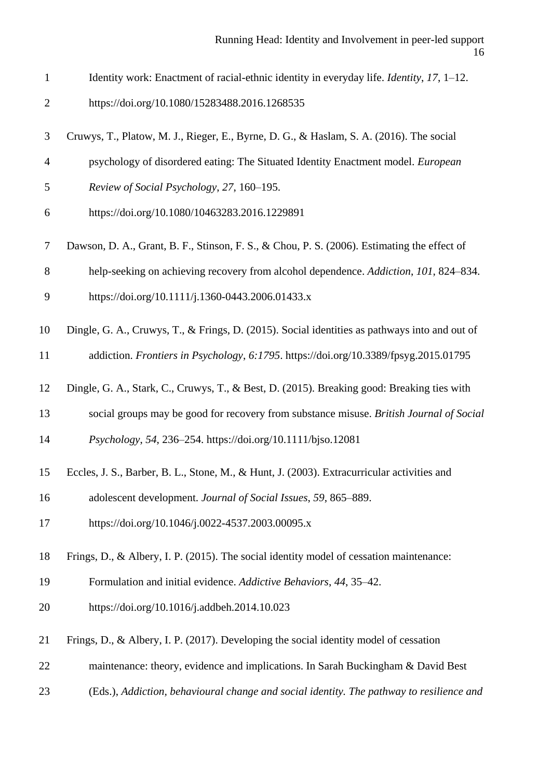- Identity work: Enactment of racial-ethnic identity in everyday life. *Identity*, *17*, 1–12.
- https://doi.org/10.1080/15283488.2016.1268535
- Cruwys, T., Platow, M. J., Rieger, E., Byrne, D. G., & Haslam, S. A. (2016). The social
- psychology of disordered eating: The Situated Identity Enactment model. *European*
- *Review of Social Psychology*, *27*, 160–195.
- https://doi.org/10.1080/10463283.2016.1229891
- Dawson, D. A., Grant, B. F., Stinson, F. S., & Chou, P. S. (2006). Estimating the effect of
- help-seeking on achieving recovery from alcohol dependence. *Addiction*, *101*, 824–834.
- https://doi.org/10.1111/j.1360-0443.2006.01433.x
- Dingle, G. A., Cruwys, T., & Frings, D. (2015). Social identities as pathways into and out of
- addiction. *Frontiers in Psychology*, *6:1795*. https://doi.org/10.3389/fpsyg.2015.01795
- Dingle, G. A., Stark, C., Cruwys, T., & Best, D. (2015). Breaking good: Breaking ties with
- social groups may be good for recovery from substance misuse. *British Journal of Social*
- *Psychology*, *54*, 236–254. https://doi.org/10.1111/bjso.12081
- Eccles, J. S., Barber, B. L., Stone, M., & Hunt, J. (2003). Extracurricular activities and
- adolescent development. *Journal of Social Issues*, *59*, 865–889.
- https://doi.org/10.1046/j.0022-4537.2003.00095.x
- Frings, D., & Albery, I. P. (2015). The social identity model of cessation maintenance:
- Formulation and initial evidence. *Addictive Behaviors*, *44*, 35–42.
- https://doi.org/10.1016/j.addbeh.2014.10.023
- Frings, D., & Albery, I. P. (2017). Developing the social identity model of cessation
- maintenance: theory, evidence and implications. In Sarah Buckingham & David Best
- (Eds.), *Addiction, behavioural change and social identity. The pathway to resilience and*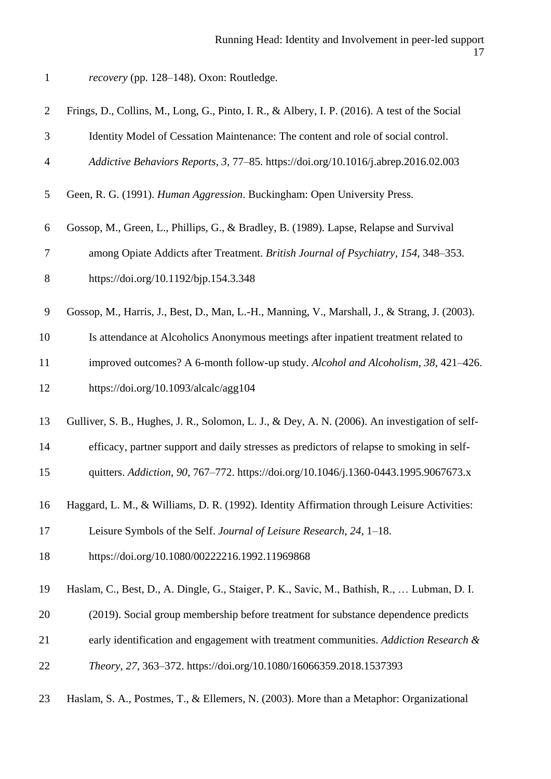| recovery (pp. 128-148). Oxon: Routledge. |  |  |  |
|------------------------------------------|--|--|--|
|------------------------------------------|--|--|--|

| $\overline{2}$ | Frings, D., Collins, M., Long, G., Pinto, I. R., & Albery, I. P. (2016). A test of the Social  |
|----------------|------------------------------------------------------------------------------------------------|
| 3              | Identity Model of Cessation Maintenance: The content and role of social control.               |
| $\overline{4}$ | Addictive Behaviors Reports, 3, 77-85. https://doi.org/10.1016/j.abrep.2016.02.003             |
| 5              | Geen, R. G. (1991). Human Aggression. Buckingham: Open University Press.                       |
| 6              | Gossop, M., Green, L., Phillips, G., & Bradley, B. (1989). Lapse, Relapse and Survival         |
| $\tau$         | among Opiate Addicts after Treatment. British Journal of Psychiatry, 154, 348–353.             |
| 8              | https://doi.org/10.1192/bjp.154.3.348                                                          |
| 9              | Gossop, M., Harris, J., Best, D., Man, L.-H., Manning, V., Marshall, J., & Strang, J. (2003).  |
| 10             | Is attendance at Alcoholics Anonymous meetings after inpatient treatment related to            |
| 11             | improved outcomes? A 6-month follow-up study. Alcohol and Alcoholism, 38, 421–426.             |
| 12             | https://doi.org/10.1093/alcalc/agg104                                                          |
| 13             | Gulliver, S. B., Hughes, J. R., Solomon, L. J., & Dey, A. N. (2006). An investigation of self- |
| 14             | efficacy, partner support and daily stresses as predictors of relapse to smoking in self-      |
| 15             | quitters. Addiction, 90, 767-772. https://doi.org/10.1046/j.1360-0443.1995.9067673.x           |
| 16             | Haggard, L. M., & Williams, D. R. (1992). Identity Affirmation through Leisure Activities:     |
| 17             | Leisure Symbols of the Self. Journal of Leisure Research, 24, 1-18.                            |
| 18             | https://doi.org/10.1080/00222216.1992.11969868                                                 |
| 19             | Haslam, C., Best, D., A. Dingle, G., Staiger, P. K., Savic, M., Bathish, R.,  Lubman, D. I.    |
| 20             | (2019). Social group membership before treatment for substance dependence predicts             |
| 21             | early identification and engagement with treatment communities. Addiction Research &           |
| 22             | Theory, 27, 363-372. https://doi.org/10.1080/16066359.2018.1537393                             |
| 23             | Haslam, S. A., Postmes, T., & Ellemers, N. (2003). More than a Metaphor: Organizational        |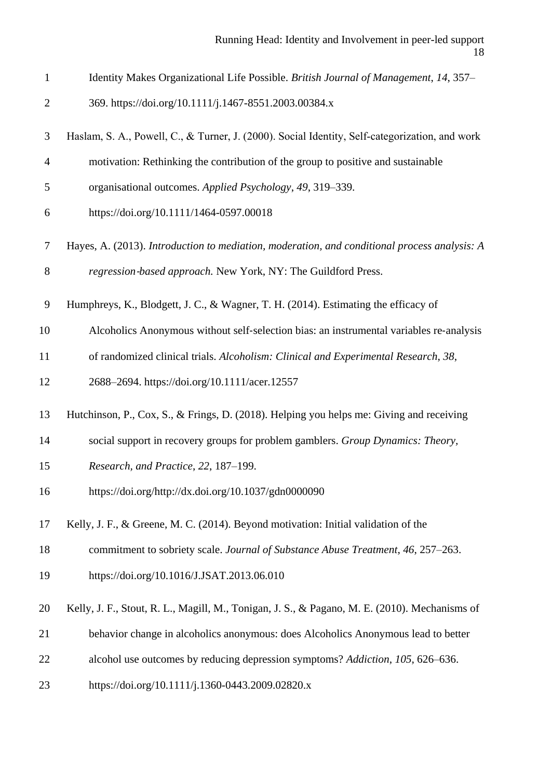- Identity Makes Organizational Life Possible. *British Journal of Management*, *14*, 357–
- 369. https://doi.org/10.1111/j.1467-8551.2003.00384.x
- Haslam, S. A., Powell, C., & Turner, J. (2000). Social Identity, Self‐categorization, and work
- motivation: Rethinking the contribution of the group to positive and sustainable
- organisational outcomes. *Applied Psychology*, *49*, 319–339.
- https://doi.org/10.1111/1464-0597.00018
- Hayes, A. (2013). *Introduction to mediation, moderation, and conditional process analysis: A regression*‐*based approach.* New York, NY: The Guildford Press.
- Humphreys, K., Blodgett, J. C., & Wagner, T. H. (2014). Estimating the efficacy of
- 10 Alcoholics Anonymous without self-selection bias: an instrumental variables re-analysis
- of randomized clinical trials. *Alcoholism: Clinical and Experimental Research*, *38*,
- 2688–2694. https://doi.org/10.1111/acer.12557
- Hutchinson, P., Cox, S., & Frings, D. (2018). Helping you helps me: Giving and receiving
- social support in recovery groups for problem gamblers. *Group Dynamics: Theory,*
- *Research, and Practice*, *22*, 187–199.
- https://doi.org/http://dx.doi.org/10.1037/gdn0000090
- Kelly, J. F., & Greene, M. C. (2014). Beyond motivation: Initial validation of the
- commitment to sobriety scale. *Journal of Substance Abuse Treatment*, *46*, 257–263.
- https://doi.org/10.1016/J.JSAT.2013.06.010
- Kelly, J. F., Stout, R. L., Magill, M., Tonigan, J. S., & Pagano, M. E. (2010). Mechanisms of
- behavior change in alcoholics anonymous: does Alcoholics Anonymous lead to better
- alcohol use outcomes by reducing depression symptoms? *Addiction*, *105*, 626–636.
- https://doi.org/10.1111/j.1360-0443.2009.02820.x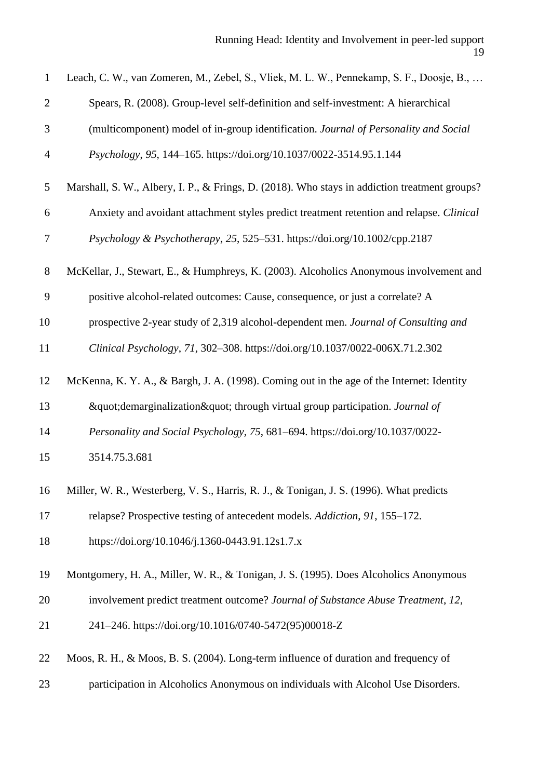| $\mathbf{1}$   | Leach, C. W., van Zomeren, M., Zebel, S., Vliek, M. L. W., Pennekamp, S. F., Doosje, B.,      |
|----------------|-----------------------------------------------------------------------------------------------|
| $\overline{2}$ | Spears, R. (2008). Group-level self-definition and self-investment: A hierarchical            |
| 3              | (multicomponent) model of in-group identification. Journal of Personality and Social          |
| $\overline{4}$ | Psychology, 95, 144-165. https://doi.org/10.1037/0022-3514.95.1.144                           |
| 5              | Marshall, S. W., Albery, I. P., & Frings, D. (2018). Who stays in addiction treatment groups? |
| 6              | Anxiety and avoidant attachment styles predict treatment retention and relapse. Clinical      |
| $\tau$         | Psychology & Psychotherapy, 25, 525–531. https://doi.org/10.1002/cpp.2187                     |
| $8\,$          | McKellar, J., Stewart, E., & Humphreys, K. (2003). Alcoholics Anonymous involvement and       |
| 9              | positive alcohol-related outcomes: Cause, consequence, or just a correlate? A                 |
| 10             | prospective 2-year study of 2,319 alcohol-dependent men. Journal of Consulting and            |
| 11             | Clinical Psychology, 71, 302-308. https://doi.org/10.1037/0022-006X.71.2.302                  |
| 12             | McKenna, K. Y. A., & Bargh, J. A. (1998). Coming out in the age of the Internet: Identity     |
| 13             | "demarginalization" through virtual group participation. Journal of                           |
| 14             | Personality and Social Psychology, 75, 681–694. https://doi.org/10.1037/0022-                 |
| 15             | 3514.75.3.681                                                                                 |
| 16             | Miller, W. R., Westerberg, V. S., Harris, R. J., & Tonigan, J. S. (1996). What predicts       |
| 17             | relapse? Prospective testing of antecedent models. Addiction, 91, 155–172.                    |
| 18             | https://doi.org/10.1046/j.1360-0443.91.12s1.7.x                                               |
| 19             | Montgomery, H. A., Miller, W. R., & Tonigan, J. S. (1995). Does Alcoholics Anonymous          |
| 20             | involvement predict treatment outcome? Journal of Substance Abuse Treatment, 12,              |
| 21             | 241-246. https://doi.org/10.1016/0740-5472(95)00018-Z                                         |
| 22             | Moos, R. H., & Moos, B. S. (2004). Long-term influence of duration and frequency of           |
| 23             | participation in Alcoholics Anonymous on individuals with Alcohol Use Disorders.              |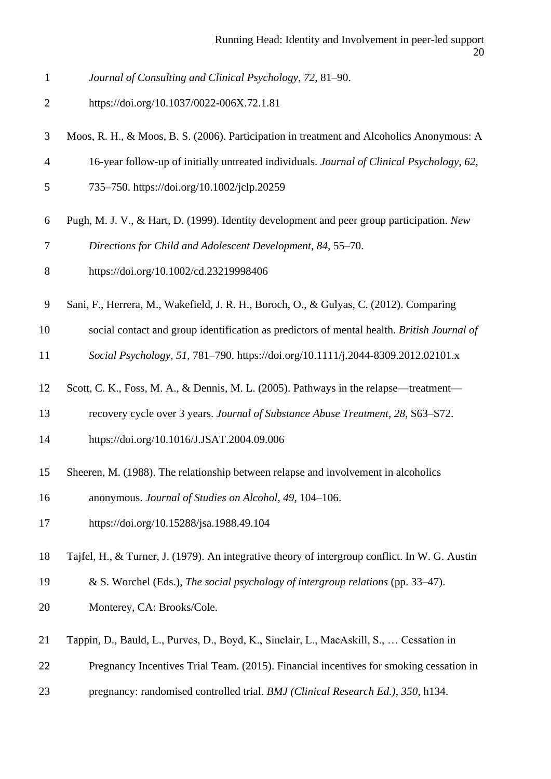- *Journal of Consulting and Clinical Psychology*, *72*, 81–90.
- https://doi.org/10.1037/0022-006X.72.1.81
- Moos, R. H., & Moos, B. S. (2006). Participation in treatment and Alcoholics Anonymous: A
- 16-year follow-up of initially untreated individuals. *Journal of Clinical Psychology*, *62*,
- 735–750. https://doi.org/10.1002/jclp.20259
- Pugh, M. J. V., & Hart, D. (1999). Identity development and peer group participation. *New*
- *Directions for Child and Adolescent Development*, *84*, 55–70.
- https://doi.org/10.1002/cd.23219998406
- Sani, F., Herrera, M., Wakefield, J. R. H., Boroch, O., & Gulyas, C. (2012). Comparing
- social contact and group identification as predictors of mental health. *British Journal of*
- *Social Psychology*, *51*, 781–790. https://doi.org/10.1111/j.2044-8309.2012.02101.x
- Scott, C. K., Foss, M. A., & Dennis, M. L. (2005). Pathways in the relapse—treatment—
- recovery cycle over 3 years. *Journal of Substance Abuse Treatment*, *28*, S63–S72.
- https://doi.org/10.1016/J.JSAT.2004.09.006
- Sheeren, M. (1988). The relationship between relapse and involvement in alcoholics
- anonymous. *Journal of Studies on Alcohol*, *49*, 104–106.
- https://doi.org/10.15288/jsa.1988.49.104
- Tajfel, H., & Turner, J. (1979). An integrative theory of intergroup conflict. In W. G. Austin
- & S. Worchel (Eds.), *The social psychology of intergroup relations* (pp. 33–47).
- Monterey, CA: Brooks/Cole.
- Tappin, D., Bauld, L., Purves, D., Boyd, K., Sinclair, L., MacAskill, S., … Cessation in
- Pregnancy Incentives Trial Team. (2015). Financial incentives for smoking cessation in
- pregnancy: randomised controlled trial. *BMJ (Clinical Research Ed.)*, *350*, h134.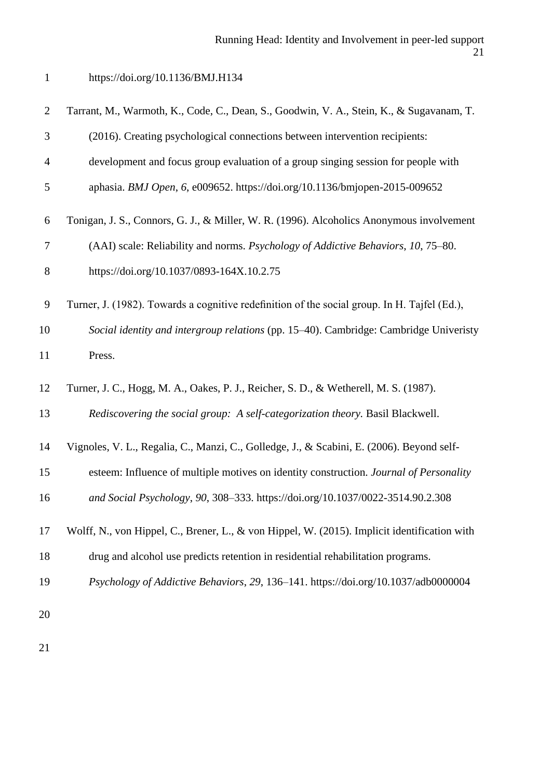# https://doi.org/10.1136/BMJ.H134

| $\overline{2}$ | Tarrant, M., Warmoth, K., Code, C., Dean, S., Goodwin, V. A., Stein, K., & Sugavanam, T.     |
|----------------|----------------------------------------------------------------------------------------------|
| 3              | (2016). Creating psychological connections between intervention recipients:                  |
| $\overline{4}$ | development and focus group evaluation of a group singing session for people with            |
| $\mathfrak{S}$ | aphasia. BMJ Open, 6, e009652. https://doi.org/10.1136/bmjopen-2015-009652                   |
| 6              | Tonigan, J. S., Connors, G. J., & Miller, W. R. (1996). Alcoholics Anonymous involvement     |
| $\tau$         | (AAI) scale: Reliability and norms. Psychology of Addictive Behaviors, 10, 75–80.            |
| $8\,$          | https://doi.org/10.1037/0893-164X.10.2.75                                                    |
| 9              | Turner, J. (1982). Towards a cognitive redefinition of the social group. In H. Tajfel (Ed.), |
| 10             | Social identity and intergroup relations (pp. 15-40). Cambridge: Cambridge Univeristy        |
| 11             | Press.                                                                                       |
|                |                                                                                              |
|                | Turner, J. C., Hogg, M. A., Oakes, P. J., Reicher, S. D., & Wetherell, M. S. (1987).         |
| 13             | Rediscovering the social group: A self-categorization theory. Basil Blackwell.               |
|                | Vignoles, V. L., Regalia, C., Manzi, C., Golledge, J., & Scabini, E. (2006). Beyond self-    |
| 15             | esteem: Influence of multiple motives on identity construction. Journal of Personality       |
| 12<br>14<br>16 | and Social Psychology, 90, 308-333. https://doi.org/10.1037/0022-3514.90.2.308               |
| 17             | Wolff, N., von Hippel, C., Brener, L., & von Hippel, W. (2015). Implicit identification with |
| 18             | drug and alcohol use predicts retention in residential rehabilitation programs.              |
| 19             | Psychology of Addictive Behaviors, 29, 136-141. https://doi.org/10.1037/adb0000004           |